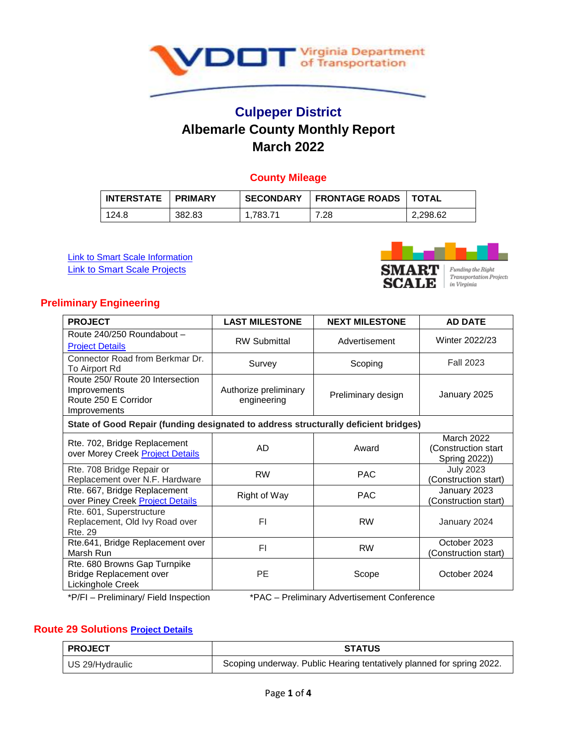

# **Culpeper District Albemarle County Monthly Report March 2022**

# **County Mileage**

| <b>INTERSTATE</b> | <b>PRIMARY</b> | <b>SECONDARY</b> | <b>FRONTAGE ROADS   TOTAL</b> |          |
|-------------------|----------------|------------------|-------------------------------|----------|
| 124.8             | 382.83         | 1.783.71         | 7.28                          | 2.298.62 |

**[Link to Smart Scale Information](http://smartscale.org/default.asp) [Link to Smart Scale Projects](https://smartportal.virginiahb2.org/#/public/apps)** 



### **Preliminary Engineering**

| <b>PROJECT</b>                                                                           | <b>LAST MILESTONE</b>                | <b>NEXT MILESTONE</b> | <b>AD DATE</b>                                      |  |
|------------------------------------------------------------------------------------------|--------------------------------------|-----------------------|-----------------------------------------------------|--|
| Route 240/250 Roundabout -<br><b>Project Details</b>                                     | <b>RW Submittal</b>                  | Advertisement         | Winter 2022/23                                      |  |
| Connector Road from Berkmar Dr.<br>To Airport Rd                                         | Survey                               | Scoping               | <b>Fall 2023</b>                                    |  |
| Route 250/ Route 20 Intersection<br>Improvements<br>Route 250 E Corridor<br>Improvements | Authorize preliminary<br>engineering | Preliminary design    | January 2025                                        |  |
| State of Good Repair (funding designated to address structurally deficient bridges)      |                                      |                       |                                                     |  |
| Rte. 702, Bridge Replacement<br>over Morey Creek Project Details                         | AD                                   | Award                 | March 2022<br>(Construction start)<br>Spring 2022)) |  |
| Rte. 708 Bridge Repair or<br>Replacement over N.F. Hardware                              | <b>RW</b>                            | <b>PAC</b>            | <b>July 2023</b><br>(Construction start)            |  |
| Rte. 667, Bridge Replacement<br>over Piney Creek Project Details                         | Right of Way                         | <b>PAC</b>            | January 2023<br>(Construction start)                |  |
| Rte. 601, Superstructure<br>Replacement, Old Ivy Road over<br><b>Rte. 29</b>             | FI                                   | <b>RW</b>             | January 2024                                        |  |
| Rte.641, Bridge Replacement over<br>Marsh Run                                            | FI                                   | <b>RW</b>             | October 2023<br>(Construction start)                |  |
| Rte. 680 Browns Gap Turnpike<br><b>Bridge Replacement over</b><br>Lickinghole Creek      | <b>PE</b>                            | Scope                 | October 2024                                        |  |

\*P/FI – Preliminary/ Field Inspection \*PAC – Preliminary Advertisement Conference

### **Route 29 Solutions [Project Details](http://route29solutions.org/)**

| <b>PROJECT</b>  | <b>STATUS</b>                                                         |  |  |
|-----------------|-----------------------------------------------------------------------|--|--|
| US 29/Hydraulic | Scoping underway. Public Hearing tentatively planned for spring 2022. |  |  |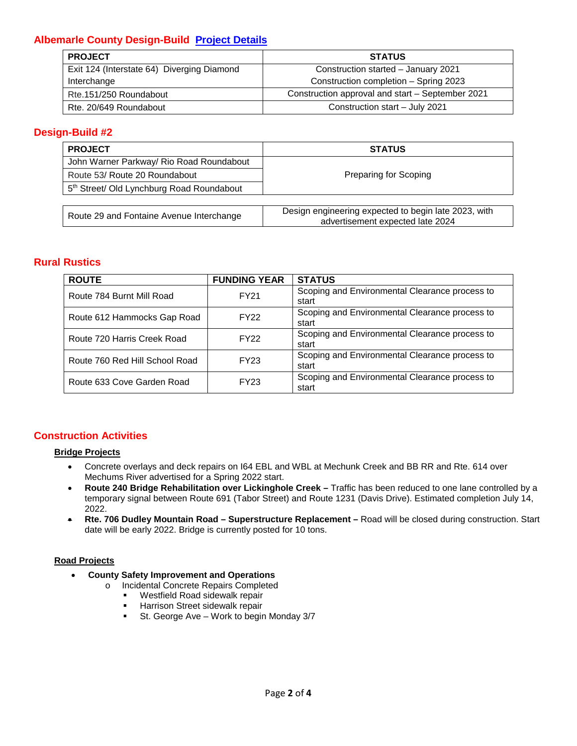# **Albemarle County Design-Build [Project Details](http://www.virginiadot.org/projects/culpeper/albdesignbuild.asp)**

| <b>PROJECT</b>                             | <b>STATUS</b>                                    |  |  |
|--------------------------------------------|--------------------------------------------------|--|--|
| Exit 124 (Interstate 64) Diverging Diamond | Construction started - January 2021              |  |  |
| Interchange                                | Construction completion - Spring 2023            |  |  |
| Rte.151/250 Roundabout                     | Construction approval and start - September 2021 |  |  |
| Rte. 20/649 Roundabout                     | Construction start - July 2021                   |  |  |

# **Design-Build #2**

| <b>PROJECT</b>                                        | <b>STATUS</b>                                                                            |  |  |  |
|-------------------------------------------------------|------------------------------------------------------------------------------------------|--|--|--|
| John Warner Parkway/ Rio Road Roundabout              |                                                                                          |  |  |  |
| Route 53/ Route 20 Roundabout                         | Preparing for Scoping                                                                    |  |  |  |
| 5 <sup>th</sup> Street/ Old Lynchburg Road Roundabout |                                                                                          |  |  |  |
|                                                       |                                                                                          |  |  |  |
| Route 29 and Fontaine Avenue Interchange              | Design engineering expected to begin late 2023, with<br>advertisement expected late 2024 |  |  |  |

### **Rural Rustics**

| <b>ROUTE</b>                   | <b>FUNDING YEAR</b> | <b>STATUS</b>                                           |
|--------------------------------|---------------------|---------------------------------------------------------|
| Route 784 Burnt Mill Road      | FY21                | Scoping and Environmental Clearance process to<br>start |
| Route 612 Hammocks Gap Road    | <b>FY22</b>         | Scoping and Environmental Clearance process to<br>start |
| Route 720 Harris Creek Road    | <b>FY22</b>         | Scoping and Environmental Clearance process to<br>start |
| Route 760 Red Hill School Road | FY23                | Scoping and Environmental Clearance process to<br>start |
| Route 633 Cove Garden Road     | FY23                | Scoping and Environmental Clearance process to<br>start |

### **Construction Activities**

#### **Bridge Projects**

- Concrete overlays and deck repairs on I64 EBL and WBL at Mechunk Creek and BB RR and Rte. 614 over Mechums River advertised for a Spring 2022 start.
- **Route 240 Bridge Rehabilitation over Lickinghole Creek –** Traffic has been reduced to one lane controlled by a temporary signal between Route 691 (Tabor Street) and Route 1231 (Davis Drive). Estimated completion July 14, 2022.
- **Rte. 706 Dudley Mountain Road – Superstructure Replacement –** Road will be closed during construction. Start date will be early 2022. Bridge is currently posted for 10 tons.

#### **Road Projects**

- **County Safety Improvement and Operations** 
	- o Incidental Concrete Repairs Completed<br>■ Westfield Road sidewalk repair
		- Westfield Road sidewalk repair
		- **Harrison Street sidewalk repair**
		- **St. George Ave Work to begin Monday 3/7**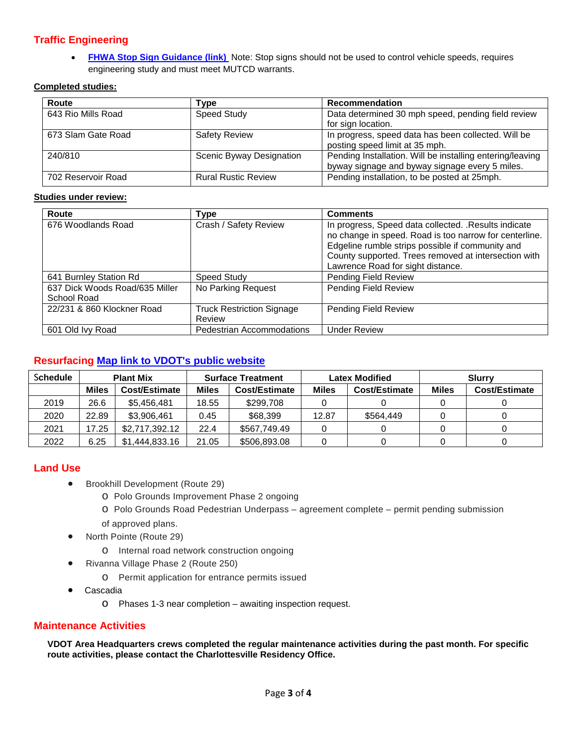# **Traffic Engineering**

• **[FHWA Stop Sign Guidance \(link\)](https://safety.fhwa.dot.gov/intersection/other_topics/fhwasa10005/docs/brief_4.pdf)** Note: Stop signs should not be used to control vehicle speeds, requires engineering study and must meet MUTCD warrants.

#### **Completed studies:**

| Route              | Type                       | <b>Recommendation</b>                                                                                       |
|--------------------|----------------------------|-------------------------------------------------------------------------------------------------------------|
| 643 Rio Mills Road | Speed Study                | Data determined 30 mph speed, pending field review<br>for sign location.                                    |
| 673 Slam Gate Road | <b>Safety Review</b>       | In progress, speed data has been collected. Will be<br>posting speed limit at 35 mph.                       |
| 240/810            | Scenic Byway Designation   | Pending Installation. Will be installing entering/leaving<br>byway signage and byway signage every 5 miles. |
| 702 Reservoir Road | <b>Rural Rustic Review</b> | Pending installation, to be posted at 25mph.                                                                |

#### **Studies under review:**

| Route                                         | <b>Type</b>                                | <b>Comments</b>                                                                                                                                                                                                                                                  |
|-----------------------------------------------|--------------------------------------------|------------------------------------------------------------------------------------------------------------------------------------------------------------------------------------------------------------------------------------------------------------------|
| 676 Woodlands Road                            | Crash / Safety Review                      | In progress, Speed data collected. . Results indicate<br>no change in speed. Road is too narrow for centerline.<br>Edgeline rumble strips possible if community and<br>County supported. Trees removed at intersection with<br>Lawrence Road for sight distance. |
| 641 Burnley Station Rd                        | <b>Speed Study</b>                         | Pending Field Review                                                                                                                                                                                                                                             |
| 637 Dick Woods Road/635 Miller<br>School Road | No Parking Request                         | <b>Pending Field Review</b>                                                                                                                                                                                                                                      |
| 22/231 & 860 Klockner Road                    | <b>Truck Restriction Signage</b><br>Review | Pending Field Review                                                                                                                                                                                                                                             |
| 601 Old Ivy Road                              | Pedestrian Accommodations                  | <b>Under Review</b>                                                                                                                                                                                                                                              |

### **Resurfacing [Map link to VDOT's public website](http://vdot.maps.arcgis.com/apps/webappviewer/index.html?id=fbf86e85fdcb43e482432f41ddbb51c7)**

| <b>Schedule</b> | <b>Plant Mix</b> |                | <b>Surface Treatment</b> |               | <b>Latex Modified</b> |               | <b>Slurry</b> |               |
|-----------------|------------------|----------------|--------------------------|---------------|-----------------------|---------------|---------------|---------------|
|                 | <b>Miles</b>     | Cost/Estimate  | <b>Miles</b>             | Cost/Estimate | <b>Miles</b>          | Cost/Estimate | <b>Miles</b>  | Cost/Estimate |
| 2019            | 26.6             | \$5,456,481    | 18.55                    | \$299.708     |                       |               |               |               |
| 2020            | 22.89            | \$3,906,461    | 0.45                     | \$68,399      | 12.87                 | \$564,449     |               |               |
| 2021            | 17.25            | \$2,717,392.12 | 22.4                     | \$567,749.49  |                       |               |               |               |
| 2022            | 6.25             | \$1,444,833.16 | 21.05                    | \$506,893.08  |                       |               |               |               |

#### **Land Use**

- Brookhill Development (Route 29)
	- o Polo Grounds Improvement Phase 2 ongoing
	- o Polo Grounds Road Pedestrian Underpass agreement complete permit pending submission of approved plans.
- North Pointe (Route 29)
	- o Internal road network construction ongoing
- Rivanna Village Phase 2 (Route 250)
	- o Permit application for entrance permits issued
- Cascadia
	- o Phases 1-3 near completion awaiting inspection request.

#### **Maintenance Activities**

**VDOT Area Headquarters crews completed the regular maintenance activities during the past month. For specific route activities, please contact the Charlottesville Residency Office.**